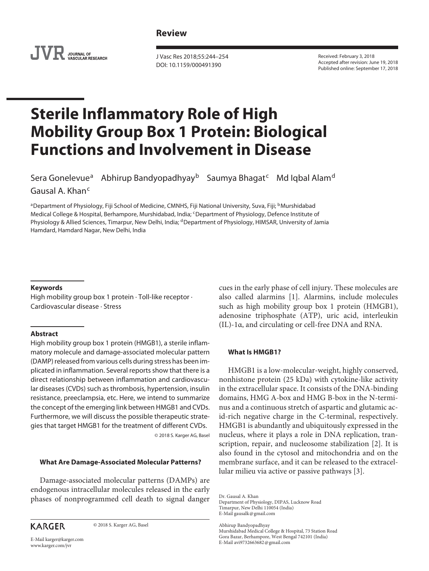# **Review**



J Vasc Res 2018;55:244–254 DOI: 10.1159/000491390

Received: February 3, 2018 Accepted after revision: June 19, 2018 Published online: September 17, 2018

# **Sterile Inflammatory Role of High Mobility Group Box 1 Protein: Biological Functions and Involvement in Disease**

Sera Gonelevue<sup>a</sup> Abhirup Bandyopadhyay<sup>b</sup> Saumya Bhagat<sup>c</sup> Md Iqbal Alam<sup>d</sup>

Gausal A. Khan<sup>c</sup>

aDepartment of Physiology, Fiji School of Medicine, CMNHS, Fiji National University, Suva, Fiji; bMurshidabad Medical College & Hospital, Berhampore, Murshidabad, India; <sup>c</sup>Department of Physiology, Defence Institute of Physiology & Allied Sciences, Timarpur, New Delhi, India; <sup>d</sup>Department of Physiology, HIMSAR, University of Jamia Hamdard, Hamdard Nagar, New Delhi, India

### **Keywords**

High mobility group box 1 protein · Toll-like receptor · Cardiovascular disease · Stress

#### **Abstract**

High mobility group box 1 protein (HMGB1), a sterile inflammatory molecule and damage-associated molecular pattern (DAMP) released from various cells during stress has been implicated in inflammation. Several reports show that there is a direct relationship between inflammation and cardiovascular diseases (CVDs) such as thrombosis, hypertension, insulin resistance, preeclampsia, etc. Here, we intend to summarize the concept of the emerging link between HMGB1 and CVDs. Furthermore, we will discuss the possible therapeutic strategies that target HMGB1 for the treatment of different CVDs.

© 2018 S. Karger AG, Basel

## **What Are Damage-Associated Molecular Patterns?**

Damage-associated molecular patterns (DAMPs) are endogenous intracellular molecules released in the early phases of nonprogrammed cell death to signal danger

**KARGER** 

© 2018 S. Karger AG, Basel

cues in the early phase of cell injury. These molecules are also called alarmins [1]. Alarmins, include molecules such as high mobility group box 1 protein (HMGB1), adenosine triphosphate (ATP), uric acid, interleukin (IL)-1α, and circulating or cell-free DNA and RNA.

## **What Is HMGB1?**

HMGB1 is a low-molecular-weight, highly conserved, nonhistone protein (25 kDa) with cytokine-like activity in the extracellular space. It consists of the DNA-binding domains, HMG A-box and HMG B-box in the N-terminus and a continuous stretch of aspartic and glutamic acid-rich negative charge in the C-terminal, respectively. HMGB1 is abundantly and ubiquitously expressed in the nucleus, where it plays a role in DNA replication, transcription, repair, and nucleosome stabilization [2]. It is also found in the cytosol and mitochondria and on the membrane surface, and it can be released to the extracellular milieu via active or passive pathways [3].

Dr. Gausal A. Khan

Department of Physiology, DIPAS, Lucknow Road Timarpur, New Delhi 110054 (India) E-Mail gausalk@gmail.com

Abhirup Bandyopadhyay

Murshidabad Medical College & Hospital, 73 Station Road Gora Bazar, Berhampore, West Bengal 742101 (India) E-Mail avi9732663682@gmail.com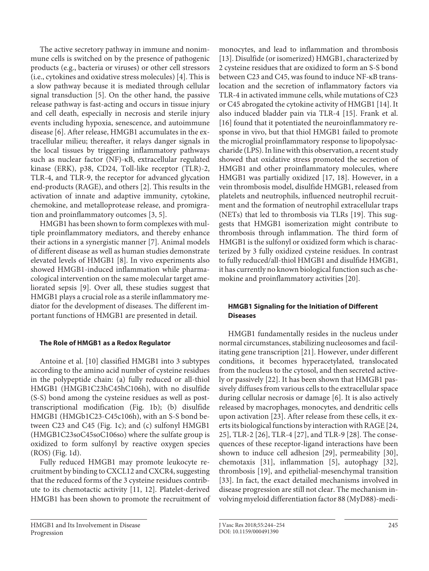The active secretory pathway in immune and nonimmune cells is switched on by the presence of pathogenic products (e.g., bacteria or viruses) or other cell stressors (i.e., cytokines and oxidative stress molecules) [4]. This is a slow pathway because it is mediated through cellular signal transduction [5]. On the other hand, the passive release pathway is fast-acting and occurs in tissue injury and cell death, especially in necrosis and sterile injury events including hypoxia, senescence, and autoimmune disease [6]. After release, HMGB1 accumulates in the extracellular milieu; thereafter, it relays danger signals in the local tissues by triggering inflammatory pathways such as nuclear factor (NF)-κB, extracellular regulated kinase (ERK), p38, CD24, Toll-like receptor (TLR)-2, TLR-4, and TLR-9, the receptor for advanced glycation end-products (RAGE), and others [2]. This results in the activation of innate and adaptive immunity, cytokine, chemokine, and metalloprotease release, and promigration and proinflammatory outcomes [3, 5].

HMGB1 has been shown to form complexes with multiple proinflammatory mediators, and thereby enhance their actions in a synergistic manner [7]. Animal models of different disease as well as human studies demonstrate elevated levels of HMGB1 [8]. In vivo experiments also showed HMGB1-induced inflammation while pharmacological intervention on the same molecular target ameliorated sepsis [9]. Over all, these studies suggest that HMGB1 plays a crucial role as a sterile inflammatory mediator for the development of diseases. The different important functions of HMGB1 are presented in detail.

## **The Role of HMGB1 as a Redox Regulator**

Antoine et al. [10] classified HMGB1 into 3 subtypes according to the amino acid number of cysteine residues in the polypeptide chain: (a) fully reduced or all-thiol HMGB1 (HMGB1C23hC45hC106h), with no disulfide (S-S) bond among the cysteine residues as well as posttranscriptional modification (Fig. 1b); (b) disulfide HMGB1 (HMGb1C23-C45c106h), with an S-S bond between C23 and C45 (Fig. 1c); and (c) sulfonyl HMGB1 (HMGB1C23soC45soC106so) where the sulfate group is oxidized to form sulfonyl by reactive oxygen species (ROS) (Fig. 1d).

Fully reduced HMGB1 may promote leukocyte recruitment by binding to CXCL12 and CXCR4, suggesting that the reduced forms of the 3 cysteine residues contribute to its chemotactic activity [11, 12]. Platelet-derived HMGB1 has been shown to promote the recruitment of monocytes, and lead to inflammation and thrombosis [13]. Disulfide (or isomerized) HMGB1, characterized by 2 cysteine residues that are oxidized to form an S-S bond between C23 and C45, was found to induce NF-κB translocation and the secretion of inflammatory factors via TLR-4 in activated immune cells, while mutations of C23 or C45 abrogated the cytokine activity of HMGB1 [14]. It also induced bladder pain via TLR-4 [15]. Frank et al. [16] found that it potentiated the neuroinflammatory response in vivo, but that thiol HMGB1 failed to promote the microglial proinflammatory response to lipopolysaccharide (LPS). In line with this observation, a recent study showed that oxidative stress promoted the secretion of HMGB1 and other proinflammatory molecules, where HMGB1 was partially oxidized [17, 18]. However, in a vein thrombosis model, disulfide HMGB1, released from platelets and neutrophils, influenced neutrophil recruitment and the formation of neutrophil extracellular traps (NETs) that led to thrombosis via TLRs [19]. This suggests that HMGB1 isomerization might contribute to thrombosis through inflammation. The third form of HMGB1 is the sulfonyl or oxidized form which is characterized by 3 fully oxidized cysteine residues. In contrast to fully reduced/all-thiol HMGB1 and disulfide HMGB1, it has currently no known biological function such as chemokine and proinflammatory activities [20].

# **HMGB1 Signaling for the Initiation of Different Diseases**

HMGB1 fundamentally resides in the nucleus under normal circumstances, stabilizing nucleosomes and facilitating gene transcription [21]. However, under different conditions, it becomes hyperacetylated, translocated from the nucleus to the cytosol, and then secreted actively or passively [22]. It has been shown that HMGB1 passively diffuses from various cells to the extracellular space during cellular necrosis or damage [6]. It is also actively released by macrophages, monocytes, and dendritic cells upon activation [23]. After release from these cells, it exerts its biological functions by interaction with RAGE [24, 25], TLR-2 [26], TLR-4 [27], and TLR-9 [28]. The consequences of these receptor-ligand interactions have been shown to induce cell adhesion [29], permeability [30], chemotaxis [31], inflammation [5], autophagy [32], thrombosis [19], and epithelial-mesenchymal transition [33]. In fact, the exact detailed mechanisms involved in disease progression are still not clear. The mechanism involving myeloid differentiation factor 88 (MyD88)-medi-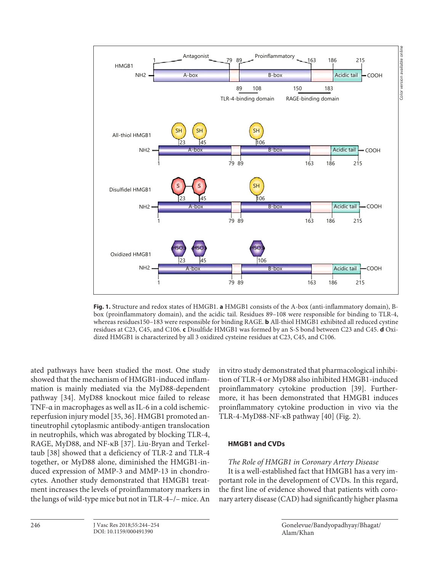

**Fig. 1.** Structure and redox states of HMGB1. **a** HMGB1 consists of the A-box (anti-inflammatory domain), Bbox (proinflammatory domain), and the acidic tail. Residues 89–108 were responsible for binding to TLR-4, whereas residues150–183 were responsible for binding RAGE. **b** All-thiol HMGB1 exhibited all reduced cystine residues at C23, C45, and C106. **c** Disulfide HMGB1 was formed by an S-S bond between C23 and C45. **d** Oxidized HMGB1 is characterized by all 3 oxidized cysteine residues at C23, C45, and C106.

ated pathways have been studied the most. One study showed that the mechanism of HMGB1-induced inflammation is mainly mediated via the MyD88-dependent pathway [34]. MyD88 knockout mice failed to release TNF-α in macrophages as well as IL-6 in a cold ischemicreperfusion injury model [35, 36]. HMGB1 promoted antineutrophil cytoplasmic antibody-antigen translocation in neutrophils, which was abrogated by blocking TLR-4, RAGE, MyD88, and NF-κB [37]. Liu-Bryan and Terkeltaub [38] showed that a deficiency of TLR-2 and TLR-4 together, or MyD88 alone, diminished the HMGB1-induced expression of MMP-3 and MMP-13 in chondrocytes. Another study demonstrated that HMGB1 treatment increases the levels of proinflammatory markers in the lungs of wild-type mice but not in TLR-4–/– mice. An

in vitro study demonstrated that pharmacological inhibition of TLR-4 or MyD88 also inhibited HMGB1-induced proinflammatory cytokine production [39]. Furthermore, it has been demonstrated that HMGB1 induces proinflammatory cytokine production in vivo via the TLR-4-MyD88-NF-κB pathway [40] (Fig. 2).

## **HMGB1 and CVDs**

## The Role of HMGB1 in Coronary Artery Disease

It is a well-established fact that HMGB1 has a very important role in the development of CVDs. In this regard, the first line of evidence showed that patients with coronary artery disease (CAD) had significantly higher plasma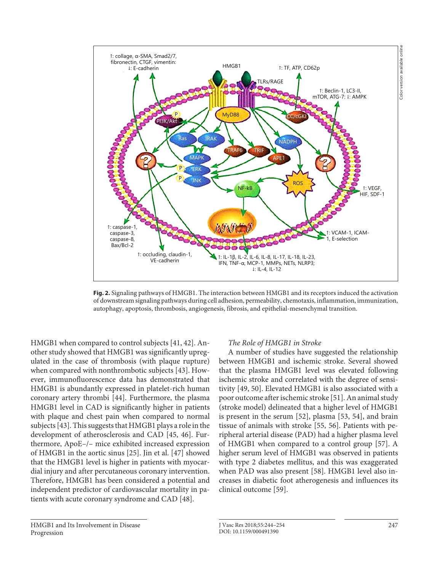

**Fig. 2.** Signaling pathways of HMGB1. The interaction between HMGB1 and its receptors induced the activation of downstream signaling pathways during cell adhesion, permeability, chemotaxis, inflammation, immunization, autophagy, apoptosis, thrombosis, angiogenesis, fibrosis, and epithelial-mesenchymal transition.

HMGB1 when compared to control subjects [41, 42]. Another study showed that HMGB1 was significantly upregulated in the case of thrombosis (with plaque rupture) when compared with nonthrombotic subjects [43]. However, immunofluorescence data has demonstrated that HMGB1 is abundantly expressed in platelet-rich human coronary artery thrombi [44]. Furthermore, the plasma HMGB1 level in CAD is significantly higher in patients with plaque and chest pain when compared to normal subjects [43]. This suggests that HMGB1 plays a role in the development of atherosclerosis and CAD [45, 46]. Furthermore, ApoE–/– mice exhibited increased expression of HMGB1 in the aortic sinus [25]. Jin et al. [47] showed that the HMGB1 level is higher in patients with myocardial injury and after percutaneous coronary intervention. Therefore, HMGB1 has been considered a potential and independent predictor of cardiovascular mortality in patients with acute coronary syndrome and CAD [48].

## The Role of HMGB1 in Stroke

A number of studies have suggested the relationship between HMGB1 and ischemic stroke. Several showed that the plasma HMGB1 level was elevated following ischemic stroke and correlated with the degree of sensitivity [49, 50]. Elevated HMGB1 is also associated with a poor outcome after ischemic stroke [51]. An animal study (stroke model) delineated that a higher level of HMGB1 is present in the serum [52], plasma [53, 54], and brain tissue of animals with stroke [55, 56]. Patients with peripheral arterial disease (PAD) had a higher plasma level of HMGB1 when compared to a control group [57]. A higher serum level of HMGB1 was observed in patients with type 2 diabetes mellitus, and this was exaggerated when PAD was also present [58]. HMGB1 level also increases in diabetic foot atherogenesis and influences its clinical outcome [59].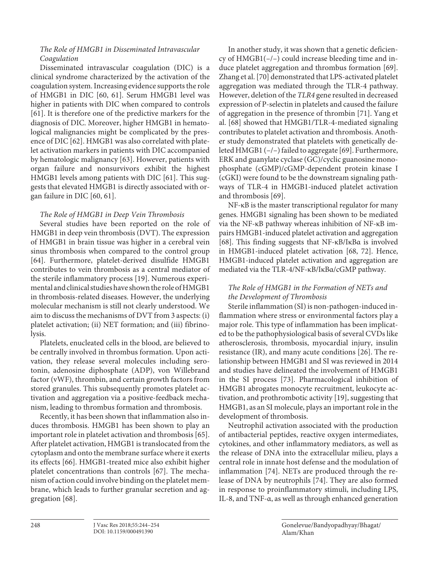# The Role of HMGB1 in Disseminated Intravascular Coagulation

Disseminated intravascular coagulation (DIC) is a clinical syndrome characterized by the activation of the coagulation system. Increasing evidence supports the role of HMGB1 in DIC [60, 61]. Serum HMGB1 level was higher in patients with DIC when compared to controls [61]. It is therefore one of the predictive markers for the diagnosis of DIC. Moreover, higher HMGB1 in hematological malignancies might be complicated by the presence of DIC [62]. HMGB1 was also correlated with platelet activation markers in patients with DIC accompanied by hematologic malignancy [63]. However, patients with organ failure and nonsurvivors exhibit the highest HMGB1 levels among patients with DIC [61]. This suggests that elevated HMGB1 is directly associated with organ failure in DIC [60, 61].

# The Role of HMGB1 in Deep Vein Thrombosis

Several studies have been reported on the role of HMGB1 in deep vein thrombosis (DVT). The expression of HMGB1 in brain tissue was higher in a cerebral vein sinus thrombosis when compared to the control group [64]. Furthermore, platelet-derived disulfide HMGB1 contributes to vein thrombosis as a central mediator of the sterile inflammatory process [19]. Numerous experimental and clinical studies have shown the role of HMGB1 in thrombosis-related diseases. However, the underlying molecular mechanism is still not clearly understood. We aim to discuss the mechanisms of DVT from 3 aspects: (i) platelet activation; (ii) NET formation; and (iii) fibrinolysis.

Platelets, enucleated cells in the blood, are believed to be centrally involved in thrombus formation. Upon activation, they release several molecules including serotonin, adenosine diphosphate (ADP), von Willebrand factor (vWF), thrombin, and certain growth factors from stored granules. This subsequently promotes platelet activation and aggregation via a positive-feedback mechanism, leading to thrombus formation and thrombosis.

Recently, it has been shown that inflammation also induces thrombosis. HMGB1 has been shown to play an important role in platelet activation and thrombosis [65]. After platelet activation, HMGB1 is translocated from the cytoplasm and onto the membrane surface where it exerts its effects [66]. HMGB1-treated mice also exhibit higher platelet concentrations than controls [67]. The mechanism of action could involve binding on the platelet membrane, which leads to further granular secretion and aggregation [68].

In another study, it was shown that a genetic deficiency of HMGB1(–/–) could increase bleeding time and induce platelet aggregation and thrombus formation [69]. Zhang et al. [70] demonstrated that LPS-activated platelet aggregation was mediated through the TLR-4 pathway. However, deletion of the TLR4 gene resulted in decreased expression of P-selectin in platelets and caused the failure of aggregation in the presence of thrombin [71]. Yang et al. [68] showed that HMGB1/TLR-4-mediated signaling contributes to platelet activation and thrombosis. Another study demonstrated that platelets with genetically deleted HMGB1 (–/–) failed to aggregate [69]. Furthermore, ERK and guanylate cyclase (GC)/cyclic guanosine monophosphate (cGMP)/cGMP-dependent protein kinase I (cGKI) were found to be the downstream signaling pathways of TLR-4 in HMGB1-induced platelet activation and thrombosis [69].

NF-κB is the master transcriptional regulator for many genes. HMGB1 signaling has been shown to be mediated via the NF-κB pathway whereas inhibition of NF-κB impairs HMGB1-induced platelet activation and aggregation [68]. This finding suggests that NF-κB/IκBα is involved in HMGB1-induced platelet activation [68, 72]. Hence, HMGB1-induced platelet activation and aggregation are mediated via the TLR-4/NF-κB/IκBα/cGMP pathway.

# The Role of HMGB1 in the Formation of NETs and the Development of Thrombosis

Sterile inflammation (SI) is non-pathogen-induced inflammation where stress or environmental factors play a major role. This type of inflammation has been implicated to be the pathophysiological basis of several CVDs like atherosclerosis, thrombosis, myocardial injury, insulin resistance (IR), and many acute conditions [26]. The relationship between HMGB1 and SI was reviewed in 2014 and studies have delineated the involvement of HMGB1 in the SI process [73]. Pharmacological inhibition of HMGB1 abrogates monocyte recruitment, leukocyte activation, and prothrombotic activity [19], suggesting that HMGB1, as an SI molecule, plays an important role in the development of thrombosis.

Neutrophil activation associated with the production of antibacterial peptides, reactive oxygen intermediates, cytokines, and other inflammatory mediators, as well as the release of DNA into the extracellular milieu, plays a central role in innate host defense and the modulation of inflammation [74]. NETs are produced through the release of DNA by neutrophils [74]. They are also formed in response to proinflammatory stimuli, including LPS, IL-8, and TNF-α, as well as through enhanced generation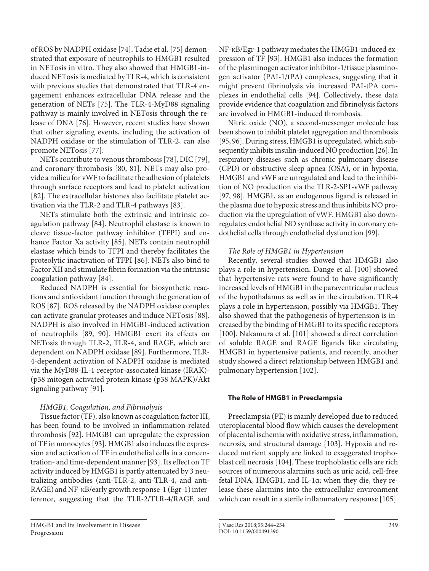of ROS by NADPH oxidase [74]. Tadie et al. [75] demonstrated that exposure of neutrophils to HMGB1 resulted in NETosis in vitro. They also showed that HMGB1-induced NETosis is mediated by TLR-4, which is consistent with previous studies that demonstrated that TLR-4 engagement enhances extracellular DNA release and the generation of NETs [75]. The TLR-4-MyD88 signaling pathway is mainly involved in NETosis through the release of DNA [76]. However, recent studies have shown that other signaling events, including the activation of NADPH oxidase or the stimulation of TLR-2, can also promote NETosis [77].

NETs contribute to venous thrombosis [78], DIC [79], and coronary thrombosis [80, 81]. NETs may also provide a milieu for vWF to facilitate the adhesion of platelets through surface receptors and lead to platelet activation [82]. The extracellular histones also facilitate platelet activation via the TLR-2 and TLR-4 pathways [83].

NETs stimulate both the extrinsic and intrinsic coagulation pathway [84]. Neutrophil elastase is known to cleave tissue-factor pathway inhibitor (TFPI) and enhance Factor Xa activity [85]. NETs contain neutrophil elastase which binds to TFPI and thereby facilitates the proteolytic inactivation of TFPI [86]. NETs also bind to Factor XII and stimulate fibrin formation via the intrinsic coagulation pathway [84].

Reduced NADPH is essential for biosynthetic reactions and antioxidant function through the generation of ROS [87]. ROS released by the NADPH oxidase complex can activate granular proteases and induce NETosis [88]. NADPH is also involved in HMGB1-induced activation of neutrophils [89, 90]. HMGB1 exert its effects on NETosis through TLR-2, TLR-4, and RAGE, which are dependent on NADPH oxidase [89]. Furthermore, TLR-4-dependent activation of NADPH oxidase is mediated via the MyD88-IL-1 receptor-associated kinase (IRAK)- (p38 mitogen activated protein kinase (p38 MAPK)/Akt signaling pathway [91].

# HMGB1, Coagulation, and Fibrinolysis

Tissue factor (TF), also known as coagulation factor III, has been found to be involved in inflammation-related thrombosis [92]. HMGB1 can upregulate the expression of TF in monocytes [93]. HMGB1 also induces the expression and activation of TF in endothelial cells in a concentration- and time-dependent manner [93]. Its effect on TF activity induced by HMGB1 is partly attenuated by 3 neutralizing antibodies (anti-TLR-2, anti-TLR-4, and anti-RAGE) and NF-κB/early growth response-1 (Egr-1) interference, suggesting that the TLR-2/TLR-4/RAGE and

NF-κB/Egr-1 pathway mediates the HMGB1-induced expression of TF [93]. HMGB1 also induces the formation of the plasminogen activator inhibitor-1/tissue plasminogen activator (PAI-1/tPA) complexes, suggesting that it might prevent fibrinolysis via increased PAI-tPA complexes in endothelial cells [94]. Collectively, these data provide evidence that coagulation and fibrinolysis factors are involved in HMGB1-induced thrombosis.

Nitric oxide (NO), a second-messenger molecule has been shown to inhibit platelet aggregation and thrombosis [95, 96]. During stress, HMGB1 is upregulated, which subsequently inhibits insulin-induced NO production [26]. In respiratory diseases such as chronic pulmonary disease (CPD) or obstructive sleep apnea (OSA), or in hypoxia, HMGB1 and vWF are unregulated and lead to the inhibition of NO production via the TLR-2-SP1-vWF pathway [97, 98]. HMGB1, as an endogenous ligand is released in the plasma due to hypoxic stress and thus inhibits NO production via the upregulation of vWF. HMGB1 also downregulates endothelial NO synthase activity in coronary endothelial cells through endothelial dysfunction [99].

# The Role of HMGB1 in Hypertension

Recently, several studies showed that HMGB1 also plays a role in hypertension. Dange et al. [100] showed that hypertensive rats were found to have significantly increased levels of HMGB1 in the paraventricular nucleus of the hypothalamus as well as in the circulation. TLR-4 plays a role in hypertension, possibly via HMGB1. They also showed that the pathogenesis of hypertension is increased by the binding of HMGB1 to its specific receptors [100]. Nakamura et al. [101] showed a direct correlation of soluble RAGE and RAGE ligands like circulating HMGB1 in hypertensive patients, and recently, another study showed a direct relationship between HMGB1 and pulmonary hypertension [102].

# **The Role of HMGB1 in Preeclampsia**

Preeclampsia (PE) is mainly developed due to reduced uteroplacental blood flow which causes the development of placental ischemia with oxidative stress, inflammation, necrosis, and structural damage [103]. Hypoxia and reduced nutrient supply are linked to exaggerated trophoblast cell necrosis [104]. These trophoblastic cells are rich sources of numerous alarmins such as uric acid, cell-free fetal DNA, HMGB1, and IL-1α; when they die, they release these alarmins into the extracellular environment which can result in a sterile inflammatory response [105].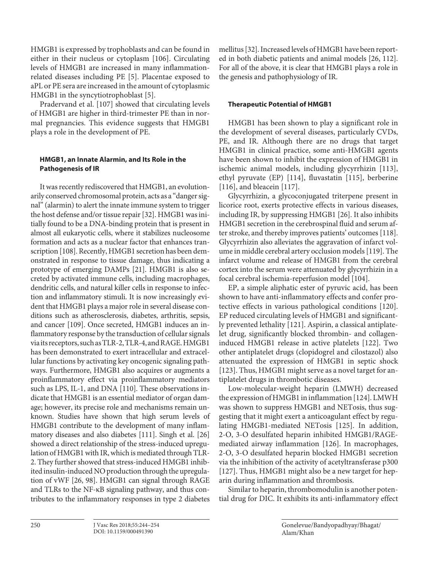HMGB1 is expressed by trophoblasts and can be found in either in their nucleus or cytoplasm [106]. Circulating levels of HMGB1 are increased in many inflammationrelated diseases including PE [5]. Placentae exposed to aPL or PE sera are increased in the amount of cytoplasmic HMGB1 in the syncytiotrophoblast [5].

Pradervand et al. [107] showed that circulating levels of HMGB1 are higher in third-trimester PE than in normal pregnancies. This evidence suggests that HMGB1 plays a role in the development of PE.

# **HMGB1, an Innate Alarmin, and Its Role in the Pathogenesis of IR**

It was recently rediscovered that HMGB1, an evolutionarily conserved chromosomal protein, acts as a "danger signal" (alarmin) to alert the innate immune system to trigger the host defense and/or tissue repair [32]. HMGB1 was initially found to be a DNA-binding protein that is present in almost all eukaryotic cells, where it stabilizes nucleosome formation and acts as a nuclear factor that enhances transcription [108]. Recently, HMGB1 secretion has been demonstrated in response to tissue damage, thus indicating a prototype of emerging DAMPs [21]. HMGB1 is also secreted by activated immune cells, including macrophages, dendritic cells, and natural killer cells in response to infection and inflammatory stimuli. It is now increasingly evident that HMGB1 plays a major role in several disease conditions such as atherosclerosis, diabetes, arthritis, sepsis, and cancer [109]. Once secreted, HMGB1 induces an inflammatory response by the transduction of cellular signals via its receptors, such as TLR-2, TLR-4, and RAGE. HMGB1 has been demonstrated to exert intracellular and extracellular functions by activating key oncogenic signaling pathways. Furthermore, HMGB1 also acquires or augments a proinflammatory effect via proinflammatory mediators such as LPS, IL-1, and DNA [110]. These observations indicate that HMGB1 is an essential mediator of organ damage; however, its precise role and mechanisms remain unknown. Studies have shown that high serum levels of HMGB1 contribute to the development of many inflammatory diseases and also diabetes [111]. Singh et al. [26] showed a direct relationship of the stress-induced upregulation of HMGB1 with IR, which is mediated through TLR-2. They further showed that stress-induced HMGB1 inhibited insulin-induced NO production through the upregulation of vWF [26, 98]. HMGB1 can signal through RAGE and TLRs to the NF-κB signaling pathway, and thus contributes to the inflammatory responses in type 2 diabetes

mellitus [32]. Increased levels of HMGB1 have been reported in both diabetic patients and animal models [26, 112]. For all of the above, it is clear that HMGB1 plays a role in the genesis and pathophysiology of IR.

# **Therapeutic Potential of HMGB1**

HMGB1 has been shown to play a significant role in the development of several diseases, particularly CVDs, PE, and IR. Although there are no drugs that target HMGB1 in clinical practice, some anti-HMGB1 agents have been shown to inhibit the expression of HMGB1 in ischemic animal models, including glycyrrhizin [113], ethyl pyruvate (EP) [114], fluvastatin [115], berberine [116], and bleacein [117].

Glycyrrhizin, a glycoconjugated triterpene present in licorice root, exerts protective effects in various diseases, including IR, by suppressing HMGB1 [26]. It also inhibits HMGB1 secretion in the cerebrospinal fluid and serum after stroke, and thereby improves patients' outcomes [118]. Glycyrrhizin also alleviates the aggravation of infarct volume in middle cerebral artery occlusion models [119]. The infarct volume and release of HMGB1 from the cerebral cortex into the serum were attenuated by glycyrrhizin in a focal cerebral ischemia-reperfusion model [104].

EP, a simple aliphatic ester of pyruvic acid, has been shown to have anti-inflammatory effects and confer protective effects in various pathological conditions [120]. EP reduced circulating levels of HMGB1 and significantly prevented lethality [121]. Aspirin, a classical antiplatelet drug, significantly blocked thrombin- and collageninduced HMGB1 release in active platelets [122]. Two other antiplatelet drugs (clopidogrel and cilostazol) also attenuated the expression of HMGB1 in septic shock [123]. Thus, HMGB1 might serve as a novel target for antiplatelet drugs in thrombotic diseases.

Low-molecular-weight heparin (LMWH) decreased the expression of HMGB1 in inflammation [124]. LMWH was shown to suppress HMGB1 and NETosis, thus suggesting that it might exert a anticoagulant effect by regulating HMGB1-mediated NETosis [125]. In addition, 2-O, 3-O desulfated heparin inhibited HMGB1/RAGEmediated airway inflammation [126]. In macrophages, 2-O, 3-O desulfated heparin blocked HMGB1 secretion via the inhibition of the activity of acetyltransferase p300 [127]. Thus, HMGB1 might also be a new target for heparin during inflammation and thrombosis.

Similar to heparin, thrombomodulin is another potential drug for DIC. It exhibits its anti-inflammatory effect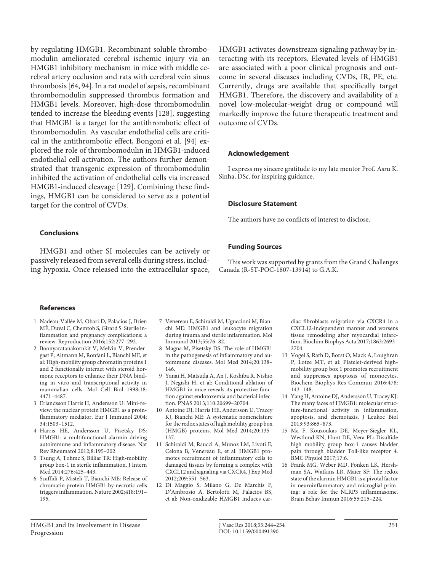by regulating HMGB1. Recombinant soluble thrombomodulin ameliorated cerebral ischemic injury via an HMGB1 inhibitory mechanism in mice with middle cerebral artery occlusion and rats with cerebral vein sinus thrombosis [64, 94]. In a rat model of sepsis, recombinant thrombomodulin suppressed thrombus formation and HMGB1 levels. Moreover, high-dose thrombomodulin tended to increase the bleeding events [128], suggesting that HMGB1 is a target for the antithrombotic effect of thrombomodulin. As vascular endothelial cells are critical in the antithrombotic effect, Bongoni et al. [94] explored the role of thrombomodulin in HMGB1-induced endothelial cell activation. The authors further demonstrated that transgenic expression of thrombomodulin inhibited the activation of endothelial cells via increased HMGB1-induced cleavage [129]. Combining these findings, HMGB1 can be considered to serve as a potential target for the control of CVDs.

## **Conclusions**

HMGB1 and other SI molecules can be actively or passively released from several cells during stress, including hypoxia. Once released into the extracellular space, HMGB1 activates downstream signaling pathway by interacting with its receptors. Elevated levels of HMGB1 are associated with a poor clinical prognosis and outcome in several diseases including CVDs, IR, PE, etc. Currently, drugs are available that specifically target HMGB1. Therefore, the discovery and availability of a novel low-molecular-weight drug or compound will markedly improve the future therapeutic treatment and outcome of CVDs.

## **Acknowledgement**

I express my sincere gratitude to my late mentor Prof. Asru K. Sinha, DSc. for inspiring guidance.

#### **Disclosure Statement**

The authors have no conflicts of interest to disclose.

## **Funding Sources**

This work was supported by grants from the Grand Challenges Canada (R-ST-POC-1807-13914) to G.A.K.

#### **References**

- 1 Nadeau-Vallée M, Obari D, Palacios J, Brien MÈ, Duval C, Chemtob S, Girard S: Sterile inflammation and pregnancy complications: a review. Reproduction 2016;152:277–292.
- 2 Boonyaratanakornkit V, Melvin V, Prendergast P, Altmann M, Ronfani L, Bianchi ME, et al: High-mobility group chromatin proteins 1 and 2 functionally interact with steroid hormone receptors to enhance their DNA binding in vitro and transcriptional activity in mammalian cells. Mol Cell Biol 1998;18: 4471–4487.
- 3 Erlandsson Harris H, Andersson U: Mini-review: the nuclear protein HMGB1 as a proinflammatory mediator. Eur J Immunol 2004; 34:1503–1512.
- 4 Harris HE, Andersson U, Pisetsky DS: HMGB1: a multifunctional alarmin driving autoimmune and inflammatory disease. Nat Rev Rheumatol 2012;8:195–202.
- 5 Tsung A, Tohme S, Billiar TR: High-mobility group box-1 in sterile inflammation. J Intern Med 2014;276:425–443.
- 6 Scaffidi P, Misteli T, Bianchi ME: Release of chromatin protein HMGB1 by necrotic cells triggers inflammation. Nature 2002;418:191– 195.
- 7 Venereau E, Schiraldi M, Uguccioni M, Bianchi ME: HMGB1 and leukocyte migration during trauma and sterile inflammation. Mol Immunol 2013;55:76–82.
- 8 Magna M, Pisetsky DS: The role of HMGB1 in the pathogenesis of inflammatory and autoimmune diseases. Mol Med 2014;20:138– 146.
- 9 Yanai H, Matsuda A, An J, Koshiba R, Nishio J, Negishi H, et al: Conditional ablation of HMGB1 in mice reveals its protective function against endotoxemia and bacterial infection. PNAS 2013;110:20699–20704.
- 10 Antoine DJ, Harris HE, Andersson U, Tracey KJ, Bianchi ME: A systematic nomenclature for the redox states of high mobility group box (HMGB) proteins. Mol Med 2014;20:135– 137.
- 11 Schiraldi M, Raucci A, Munoz LM, Livoti E, Celona B, Venereau E, et al: HMGB1 promotes recruitment of inflammatory cells to damaged tissues by forming a complex with CXCL12 and signaling via CXCR4. J Exp Med 2012;209:551–563.
- 12 Di Maggio S, Milano G, De Marchis F, D'Ambrosio A, Bertolotti M, Palacios BS, et al: Non-oxidizable HMGB1 induces car-

diac fibroblasts migration via CXCR4 in a CXCL12-independent manner and worsens tissue remodeling after myocardial infarction. Biochim Biophys Acta 2017;1863:2693– 2704.

- 13 Vogel S, Rath D, Borst O, Mack A, Loughran P, Lotze MT, et al: Platelet-derived highmobility group box 1 promotes recruitment and suppresses apoptosis of monocytes. Biochem Biophys Res Commun 2016;478: 143–148.
- 14 Yang H, Antoine DJ, Andersson U, Tracey KJ: The many faces of HMGB1: molecular structure-functional activity in inflammation, apoptosis, and chemotaxis. J Leukoc Biol 2013;93:865–873.
- 15 Ma F, Kouzoukas DE, Meyer-Siegler KL, Westlund KN, Hunt DE, Vera PL: Disulfide high mobility group box-1 causes bladder pain through bladder Toll-like receptor 4. BMC Physiol 2017;17:6.
- 16 Frank MG, Weber MD, Fonken LK, Hershman SA, Watkins LR, Maier SF: The redox state of the alarmin HMGB1 is a pivotal factor in neuroinflammatory and microglial priming: a role for the NLRP3 inflammasome. Brain Behav Immun 2016;55:215–224.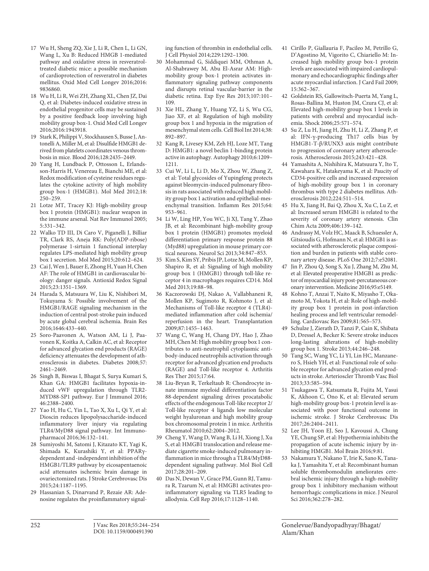- 17 Wu H, Sheng ZQ, Xie J, Li R, Chen L, Li GN, Wang L, Xu B: Reduced HMGB 1-mediated pathway and oxidative stress in resveratroltreated diabetic mice: a possible mechanism of cardioprotection of resveratrol in diabetes mellitus. Oxid Med Cell Longev 2016;2016: 9836860.
- 18 Wu H, Li R, Wei ZH, Zhang XL, Chen JZ, Dai Q, et al: Diabetes-induced oxidative stress in endothelial progenitor cells may be sustained by a positive feedback loop involving high mobility group box-1. Oxid Med Cell Longev 2016;2016:1943918.
- 19 Stark K, Philippi V, Stockhausen S, Busse J, Antonelli A, Miller M, et al: Disulfide HMGB1 derived from platelets coordinates venous thrombosis in mice. Blood 2016;128:2435–2449.
- 20 Yang H, Lundback P, Ottosson L, Erlandsson-Harris H, Venereau E, Bianchi ME, et al: Redox modification of cysteine residues regulates the cytokine activity of high mobility group box-1 (HMGB1). Mol Med 2012;18: 250–259.
- 21 Lotze MT, Tracey KJ: High-mobility group box 1 protein (HMGB1): nuclear weapon in the immune arsenal. Nat Rev Immunol 2005; 5:331–342.
- 22 Walko TD III, Di Caro V, Piganelli J, Billiar TR, Clark RS, Aneja RK: Poly(ADP-ribose) polymerase 1-sirtuin 1 functional interplay regulates LPS-mediated high mobility group box 1 secretion. Mol Med 2015;20:612–624.
- 23 Cai J, Wen J, Bauer E, Zhong H, Yuan H, Chen AF: The role of HMGB1 in cardiovascular biology: danger signals. Antioxid Redox Signal 2015;23:1351–1369.
- 24 Harada S, Matsuura W, Liu K, Nishibori M, Tokuyama S: Possible involvement of the HMGB1/RAGE signaling mechanism in the induction of central post-stroke pain induced by acute global cerebral ischemia. Brain Res 2016;1646:433–440.
- 25 Soro-Paavonen A, Watson AM, Li J, Paavonen K, Koitka A, Calkin AC, et al: Receptor for advanced glycation end products (RAGE) deficiency attenuates the development of atherosclerosis in diabetes. Diabetes 2008;57: 2461–2469.
- 26 Singh B, Biswas I, Bhagat S, Surya Kumari S, Khan GA: HMGB1 facilitates hypoxia-induced vWF upregulation through TLR2- MYD88-SP1 pathway. Eur J Immunol 2016; 46:2388–2400.
- 27 Yao H, Hu C, Yin L, Tao X, Xu L, Qi Y, et al: Dioscin reduces lipopolysaccharide-induced inflammatory liver injury via regulating TLR4/MyD88 signal pathway. Int Immunopharmacol 2016;36:132–141.
- 28 Sumiyoshi M, Satomi J, Kitazato KT, Yagi K, Shimada K, Kurashiki Y, et al: PPARγdependent and -independent inhibition of the HMGB1/TLR9 pathway by eicosapentaenoic acid attenuates ischemic brain damage in ovariectomized rats. J Stroke Cerebrovasc Dis 2015;24:1187–1195.
- 29 Hassanian S, Dinarvand P, Rezaie AR: Adenosine regulates the proinflammatory signal-

ing function of thrombin in endothelial cells. J Cell Physiol 2014;229:1292–1300.

- 30 Mohammad G, Siddiquei MM, Othman A, Al-Shabrawey M, Abu El-Asrar AM: Highmobility group box-1 protein activates inflammatory signaling pathway components and disrupts retinal vascular-barrier in the diabetic retina. Exp Eye Res 2013;107:101– 109.
- 31 Xie HL, Zhang Y, Huang YZ, Li S, Wu CG, Jiao XF, et al: Regulation of high mobility group box 1 and hypoxia in the migration of mesenchymal stem cells. Cell Biol Int 2014;38: 892–897.
- 32 Kang R, Livesey KM, Zeh HJ, Loze MT, Tang D: HMGB1: a novel beclin 1-binding protein active in autophagy. Autophagy 2010;6:1209– 1211.
- 33 Cui W, Li L, Li D, Mo X, Zhou W, Zhang Z, et al: Total glycosides of Yupingfeng protects against bleomycin-induced pulmonary fibrosis in rats associated with reduced high mobility group box 1 activation and epithelial-mesenchymal transition. Inflamm Res 2015;64: 953–961.
- 34 Li W, Ling HP, You WC, Ji XJ, Tang Y, Zhao JB, et al: Recombinant high-mobility group box 1 protein (HMGB1) promotes myeloid differentiation primary response protein 88 (Myd88) upregulation in mouse primary cortical neurons. Neurol Sci 2013;34:847–853.
- 35 Kim S, Kim SY, Pribis JP, Lotze M, Mollen KP, Shapiro R, et al: Signaling of high mobility group box 1 (HMGB1) through toll-like receptor 4 in macrophages requires CD14. Mol Med 2013;19:88-98.
- 36 Kaczorowski DJ, Nakao A, Vallabhaneni R, Mollen KP, Sugimoto R, Kohmoto J, et al: Mechanisms of Toll-like receptor 4 (TLR4) mediated inflammation after cold ischemia/ reperfusion in the heart. Transplantation 2009;87:1455–1463.
- 37 Wang C, Wang H, Chang DY, Hao J, Zhao MH, Chen M: High mobility group box 1 contributes to anti-neutrophil cytoplasmic antibody-induced neutrophils activation through receptor for advanced glycation end products (RAGE) and Toll-like receptor 4. Arthritis Res Ther 2015;17:64.
- 38 Liu-Bryan R, Terkeltaub R: Chondrocyte innate immune myeloid differentiation factor 88-dependent signaling drives procatabolic effects of the endogenous Toll-like receptor 2/ Toll-like receptor 4 ligands low molecular weight hyaluronan and high mobility group box chromosomal protein 1 in mice. Arthritis Rheumatol 2010;62:2004–2012.
- 39 Cheng Y, Wang D, Wang B, Li H, Xiong J, Xu S, et al: HMGB1 translocation and release mediate cigarette smoke-induced pulmonary inflammation in mice through a TLR4/MyD88 dependent signaling pathway. Mol Biol Cell 2017;28:201–209.
- 40 Das N, Dewan V, Grace PM, Gunn RJ, Tamura R, Tzarum N, et al: HMGB1 activates proinflammatory signaling via TLR5 leading to allodynia. Cell Rep 2016;17:1128–1140.
- 41 Cirillo P, Giallauria F, Pacileo M, Petrillo G, D'Agostino M, Vigorito C, Chiariello M: Increased high mobility group box-1 protein levels are associated with impaired cardiopulmonary and echocardiographic findings after acute myocardial infarction. J Card Fail 2009; 15:362–367.
- 42 Goldstein RS, Gallowitsch-Puerta M, Yang L, Rosas-Ballina M, Huston JM, Czura CJ, et al: Elevated high-mobility group box 1 levels in patients with cerebral and myocardial ischemia. Shock 2006;25:571–574.
- 43 Su Z, Lu H, Jiang H, Zhu H, Li Z, Zhang P, et al: IFN-γ-producing Th17 cells bias by HMGB1-T-β/RUNX3 axis might contribute to progression of coronary artery atherosclerosis. Atherosclerosis 2015;243:421–428.
- 44 Yamashita A, Nishihira K, Matsuura Y, Ito T, Kawahara K, Hatakeyama K, et al: Paucity of CD34-positive cells and increased expression of high-mobility group box 1 in coronary thrombus with type 2 diabetes mellitus. Atherosclerosis 2012;224:511–514.
- 45 Hu X, Jiang H, Bai Q, Zhou X, Xu C, Lu Z, et al: Increased serum HMGB1 is related to the severity of coronary artery stenosis. Clin Chim Acta 2009;406:139–142.
- 46 Andrassy M, Volz HC, Maack B, Schuessler A, Gitsioudis G, Hofmann N, et al: HMGB1 is associated with atherosclerotic plaque composition and burden in patients with stable coronary artery disease. PLoS One 2012;7:e52081.
- 47 Jin P, Zhou Q, Song S, Xu J, Zhang M, Zhu M, et al: Elevated preoperative HMGB1 as predictor of myocardial injury post-percutaneous coronary intervention. Medicine 2016;95:e5149.
- 48 Kohno T, Anzai T, Naito K, Miyasho T, Okamoto M, Yokota H, et al: Role of high-mobility group box 1 protein in post-infarction healing process and left ventricular remodelling. Cardiovasc Res 2009;81:565–573.
- 49 Schulze J, Zierath D, Tanzi P, Cain K, Shibata D, Dressel A, Becker K: Severe stroke induces long-lasting alterations of high-mobility group box 1. Stroke 2013;44:246–248.
- 50 Tang SC, Wang YC, Li YI, Lin HC, Manzanero S, Hsieh YH, et al: Functional role of soluble receptor for advanced glycation end products in stroke. Arterioscler Thromb Vasc Biol 2013;33:585–594.
- 51 Tsukagawa T, Katsumata R, Fujita M, Yasui K, Akhoon C, Ono K, et al: Elevated serum high-mobility group box-1 protein level is associated with poor functional outcome in ischemic stroke. J Stroke Cerebrovasc Dis 2017;26:2404–2411.
- 52 Lee JH, Yoon EJ, Seo J, Kavoussi A, Chung YE, Chung SP, et al: Hypothermia inhibits the propagation of acute ischemic injury by inhibiting HMGB1. Mol Brain 2016;9:81.
- 53 Nakamura Y, Nakano T, Irie K, Sano K, Tanaka J, Yamashita Y, et al: Recombinant human soluble thrombomodulin ameliorates cerebral ischemic injury through a high-mobility group box 1 inhibitory mechanism without hemorrhagic complications in mice. J Neurol Sci 2016;362:278–282.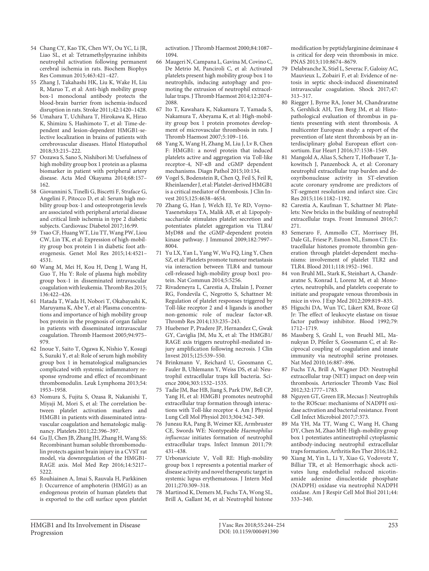- 54 Chang CY, Kao TK, Chen WY, Ou YC, Li JR, Liao SL, et al: Tetramethylpyrazine inhibits neutrophil activation following permanent cerebral ischemia in rats. Biochem Biophys Res Commun 2015;463:421–427.
- 55 Zhang J, Takahashi HK, Liu K, Wake H, Liu R, Maruo T, et al: Anti-high mobility group box-1 monoclonal antibody protects the blood-brain barrier from ischemia-induced disruption in rats. Stroke 2011;42:1420–1428.
- 56 Umahara T, Uchihara T, Hirokawa K, Hirao K, Shimizu S, Hashimoto T, et al: Time-dependent and lesion-dependent HMGB1-selective localization in brains of patients with cerebrovascular diseases. Histol Histopathol 2018;33:215–222.
- 57 Oozawa S, Sano S, Nishibori M: Usefulness of high mobility group box 1 protein as a plasma biomarker in patient with peripheral artery disease. Acta Med Okayama 2014;68:157– 162.
- 58 Giovannini S, Tinelli G, Biscetti F, Straface G, Angelini F, Pitocco D, et al: Serum high mobility group box-1 and osteoprotegerin levels are associated with peripheral arterial disease and critical limb ischemia in type 2 diabetic subjects. Cardiovasc Diabetol 2017;16:99.
- 59 Tsao CF, Huang WT, Liu TT, Wang PW, Liou CW, Lin TK, et al: Expression of high-mobility group box protein 1 in diabetic foot atherogenesis. Genet Mol Res 2015;14:4521– 4531.
- 60 Wang M, Mei H, Kou H, Deng J, Wang H, Guo T, Hu Y: Role of plasma high mobility group box-1 in disseminated intravascular coagulation with leukemia. Thromb Res 2015; 136:422–426.
- 61 Hatada T, Wada H, Nobori T, Okabayashi K, Maruyama K, Abe Y, et al: Plasma concentrations and importance of high mobility group box protein in the prognosis of organ failure in patients with disseminated intravascular coagulation. Thromb Haemost 2005;94:975– 979.
- 62 Inoue Y, Saito T, Ogawa K, Nishio Y, Kosugi S, Suzuki Y, et al: Role of serum high mobility group box 1 in hematological malignancies complicated with systemic inflammatory response syndrome and effect of recombinant thrombomodulin. Leuk Lymphoma 2013;54: 1953–1958.
- 63 Nomura S, Fujita S, Ozasa R, Nakanishi T, Miyaji M, Mori S, et al: The correlation between platelet activation markers and HMGB1 in patients with disseminated intravascular coagulation and hematologic malignancy. Platelets 2011;22:396–397.
- 64 Gu JJ, Chen JB, Zhang JH, Zhang H, Wang SS: Recombinant human soluble thrombomodulin protects against brain injury in a CVST rat model, via downregulation of the HMGB1- RAGE axis. Mol Med Rep 2016;14:5217– 5222.
- 65 Rouhiainen A, Imai S, Rauvala H, Parkkinen J: Occurrence of amphoterin (HMG1) as an endogenous protein of human platelets that is exported to the cell surface upon platelet

activation. J Thromb Haemost 2000;84:1087– 1094.

- 66 Maugeri N, Campana L, Gavina M, Covino C, De Metrio M, Panciroli C, et al: Activated platelets present high mobility group box 1 to neutrophils, inducing autophagy and promoting the extrusion of neutrophil extracellular traps. J Thromb Haemost 2014;12:2074– 2088.
- 67 Ito T, Kawahara K, Nakamura T, Yamada S, Nakamura T, Abeyama K, et al: High-mobility group box 1 protein promotes development of microvascular thrombosis in rats. J Thromb Haemost 2007;5:109–116.
- 68 Yang X, Wang H, Zhang M, Liu J, Lv B, Chen F: HMGB1: a novel protein that induced platelets active and aggregation via Toll-like receptor-4, NF-κB and cGMP dependent mechanisms. Diagn Pathol 2015;10:134.
- 69 Vogel S, Bodenstein R, Chen Q, Feil S, Feil R, Rheinlaender J, et al: Platelet-derived HMGB1 is a critical mediator of thrombosis. J Clin Invest 2015;125:4638–4654.
- 70 Zhang G, Han J, Welch EJ, Ye RD, Voyno-Yasenetskaya TA, Malik AB, et al: Lipopolysaccharide stimulates platelet secretion and potentiates platelet aggregation via TLR4/ MyD88 and the cGMP-dependent protein kinase pathway. J Immunol 2009;182:7997– 8004.
- 71 Yu LX, Yan L, Yang W, Wu FQ, Ling Y, Chen SZ, et al: Platelets promote tumour metastasis via interaction between TLR4 and tumour cell-released high-mobility group box1 protein. Nat Commun 2014;5:5256.
- 72 Rivadeneyra L, Carestia A, Etulain J, Pozner RG, Fondevila C, Negrotto S, Schattner M: Regulation of platelet responses triggered by Toll-like receptor 2 and 4 ligands is another non-genomic role of nuclear factor-κB. Thromb Res 2014;133:235–243.
- 73 Huebener P, Pradere JP, Hernandez C, Gwak GY, Caviglia JM, Mu X, et al: The HMGB1/ RAGE axis triggers neutrophil-mediated injury amplification following necrosis. J Clin Invest 2015;125:539–550.
- 74 Brinkmann V, Reichard U, Goosmann C, Fauler B, Uhlemann Y, Weiss DS, et al: Neutrophil extracellular traps kill bacteria. Science 2004;303:1532–1535.
- 75 Tadie JM, Bae HB, Jiang S, Park DW, Bell CP, Yang H, et al: HMGB1 promotes neutrophil extracellular trap formation through interactions with Toll-like receptor 4. Am J Physiol Lung Cell Mol Physiol 2013;304:342–349.
- 76 Juneau RA, Pang B, Weimer KE, Armbruster CE, Swords WE: Nontypeable Haemophilus influenzae initiates formation of neutrophil extracellular traps. Infect Immun 2011;79: 431–438.
- 77 Urbonaviciute V, Voll RE: High-mobility group box 1 represents a potential marker of disease activity and novel therapeutic target in systemic lupus erythematosus. J Intern Med 2011;270:309–318.
- 78 Martinod K, Demers M, Fuchs TA, Wong SL, Brill A, Gallant M, et al: Neutrophil histone

modification by peptidylarginine deiminase 4 is critical for deep vein thrombosis in mice. PNAS 2013;110:8674–8679.

- 79 Delabranche X, Stiel L, Severac F, Galoisy AC, Mauvieux L, Zobairi F, et al: Evidence of netosis in septic shock-induced disseminated intravascular coagulation. Shock 2017;47: 313–317.
- 80 Riegger J, Byrne RA, Joner M, Chandraratne S, Gershlick AH, Ten Berg JM, et al: Histopathological evaluation of thrombus in patients presenting with stent thrombosis. A multicenter European study: a report of the prevention of late stent thrombosis by an interdisciplinary global European effort consortium. Eur Heart J 2016;37:1538–1549.
- Mangold A, Alias S, Scherz T, Hofbauer T, Jakowitsch J, Panzenbock A, et al: Coronary neutrophil extracellular trap burden and deoxyribonuclease activity in ST-elevation acute coronary syndrome are predictors of ST-segment resolution and infarct size. Circ Res 2015;116:1182–1192.
- 82 Carestia A, Kaufman T, Schattner M: Platelets: New bricks in the building of neutrophil extracellular traps. Front Immunol 2016;7: 271.
- 83 Semeraro F, Ammollo CT, Morrissey JH, Dale GL, Friese P, Esmon NL, Esmon CT: Extracellular histones promote thrombin generation through platelet-dependent mechanisms: involvement of platelet TLR2 and TLR4. Blood 2011;118:1952–1961.
- 84 von Bruhl ML, Stark K, Steinhart A, Chandraratne S, Konrad I, Lorenz M, et al: Monocytes, neutrophils, and platelets cooperate to initiate and propagate venous thrombosis in mice in vivo. J Exp Med 2012;209:819–835.
- 85 Higuchi DA, Wun TC, Likert KM, Broze GJ Jr: The effect of leukocyte elastase on tissue factor pathway inhibitor. Blood 1992;79: 1712–1719.
- 86 Massberg S, Grahl L, von Bruehl ML, Manukyan D, Pfeiler S, Goosmann C, et al: Reciprocal coupling of coagulation and innate immunity via neutrophil serine proteases. Nat Med 2010;16:887–896.
- 87 Fuchs TA, Brill A, Wagner DD: Neutrophil extracellular trap (NET) impact on deep vein thrombosis. Arterioscler Thromb Vasc Biol 2012;32:1777–1783.
- 88 Nguyen GT, Green ER, Mecsas J: Neutrophils to the ROScue: mechanisms of NADPH oxidase activation and bacterial resistance. Front Cell Infect Microbiol 2017;7:373.
- 89 Ma YH, Ma TT, Wang C, Wang H, Chang DY, Chen M, Zhao MH: High-mobility group box 1 potentiates antineutrophil cytoplasmic antibody-inducing neutrophil extracellular traps formation. Arthritis Res Ther 2016;18:2.
- 90 Xiang M, Yin L, Li Y, Xiao G, Vodovotz Y, Billiar TR, et al: Hemorrhagic shock activates lung endothelial reduced nicotinamide adenine dinucleotide phosphate (NADPH) oxidase via neutrophil NADPH oxidase. Am J Respir Cell Mol Biol 2011;44: 333–340.